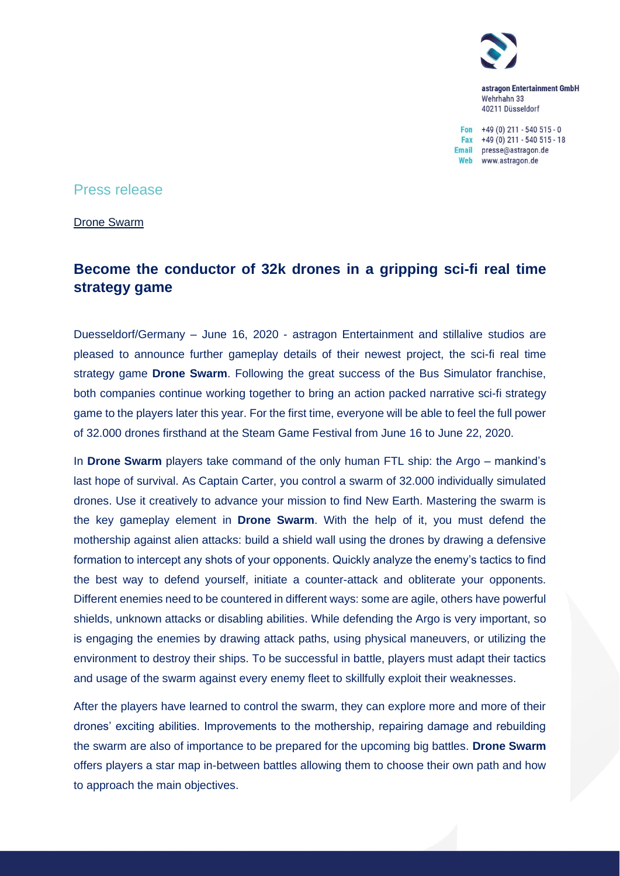

astragon Entertainment GmbH Wehrhahn 33 40211 Düsseldorf

Fon  $+49(0)$  211 - 540 515 - 0 Fax  $+49(0)$  211 - 540 515 - 18 Email presse@astragon.de Web www.astragon.de

## Press release

Drone Swarm

# **Become the conductor of 32k drones in a gripping sci-fi real time strategy game**

Duesseldorf/Germany – June 16, 2020 - astragon Entertainment and stillalive studios are pleased to announce further gameplay details of their newest project, the sci-fi real time strategy game **Drone Swarm**. Following the great success of the Bus Simulator franchise, both companies continue working together to bring an action packed narrative sci-fi strategy game to the players later this year. For the first time, everyone will be able to feel the full power of 32.000 drones firsthand at the Steam Game Festival from June 16 to June 22, 2020.

In **Drone Swarm** players take command of the only human FTL ship: the Argo – mankind's last hope of survival. As Captain Carter, you control a swarm of 32.000 individually simulated drones. Use it creatively to advance your mission to find New Earth. Mastering the swarm is the key gameplay element in **Drone Swarm**. With the help of it, you must defend the mothership against alien attacks: build a shield wall using the drones by drawing a defensive formation to intercept any shots of your opponents. Quickly analyze the enemy's tactics to find the best way to defend yourself, initiate a counter-attack and obliterate your opponents. Different enemies need to be countered in different ways: some are agile, others have powerful shields, unknown attacks or disabling abilities. While defending the Argo is very important, so is engaging the enemies by drawing attack paths, using physical maneuvers, or utilizing the environment to destroy their ships. To be successful in battle, players must adapt their tactics and usage of the swarm against every enemy fleet to skillfully exploit their weaknesses.

After the players have learned to control the swarm, they can explore more and more of their drones' exciting abilities. Improvements to the mothership, repairing damage and rebuilding the swarm are also of importance to be prepared for the upcoming big battles. **Drone Swarm** offers players a star map in-between battles allowing them to choose their own path and how to approach the main objectives.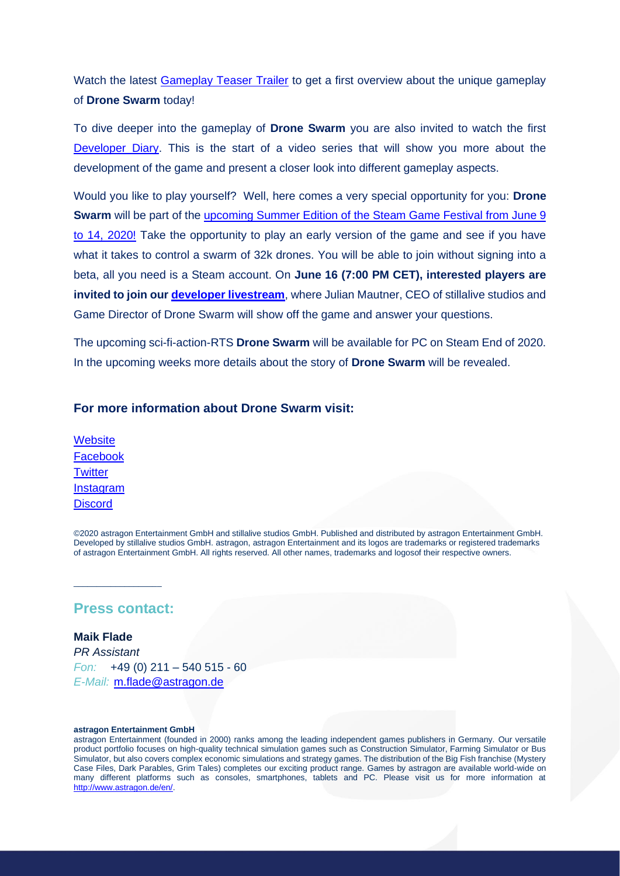Watch the latest [Gameplay Teaser Trailer](https://youtu.be/Hyd5q2F25CY) to get a first overview about the unique gameplay of **Drone Swarm** today!

To dive deeper into the gameplay of **Drone Swarm** you are also invited to watch the first [Developer Diary.](https://youtu.be/tMjcUzrmaYU) This is the start of a video series that will show you more about the development of the game and present a closer look into different gameplay aspects.

Would you like to play yourself? Well, here comes a very special opportunity for you: **Drone Swarm** will be part of the [upcoming Summer Edition of the Steam Game Festival from June 9](https://store.steampowered.com/app/401760/Drone_Swarm/)  [to 14, 2020!](https://store.steampowered.com/app/401760/Drone_Swarm/) Take the opportunity to play an early version of the game and see if you have what it takes to control a swarm of 32k drones. You will be able to join without signing into a beta, all you need is a Steam account. On **June 16 (7:00 PM CET), interested players are invited to join our [developer livestream](https://www.youtube.com/watch?v=WGb14AwssNE)**, where Julian Mautner, CEO of stillalive studios and Game Director of Drone Swarm will show off the game and answer your questions.

The upcoming sci-fi-action-RTS **Drone Swarm** will be available for PC on Steam End of 2020. In the upcoming weeks more details about the story of **Drone Swarm** will be revealed.

### **For more information about Drone Swarm visit:**

**[Website](https://www.droneswarmgame.com/)** [Facebook](https://www.facebook.com/DroneSwarmGame/) **[Twitter](https://twitter.com/DroneSwarmGame)** [Instagram](https://www.instagram.com/DroneSwarmGame/) **[Discord](https://discordapp.com/invite/mQJ3uWU)** 

©2020 astragon Entertainment GmbH and stillalive studios GmbH. Published and distributed by astragon Entertainment GmbH. Developed by stillalive studios GmbH. astragon, astragon Entertainment and its logos are trademarks or registered trademarks of astragon Entertainment GmbH. All rights reserved. All other names, trademarks and logosof their respective owners.

## **Press contact:**

 $\mathcal{L}=\mathcal{L}=\mathcal{L}=\mathcal{L}=\mathcal{L}=\mathcal{L}=\mathcal{L}=\mathcal{L}=\mathcal{L}=\mathcal{L}=\mathcal{L}=\mathcal{L}=\mathcal{L}=\mathcal{L}=\mathcal{L}=\mathcal{L}=\mathcal{L}=\mathcal{L}=\mathcal{L}=\mathcal{L}=\mathcal{L}=\mathcal{L}=\mathcal{L}=\mathcal{L}=\mathcal{L}=\mathcal{L}=\mathcal{L}=\mathcal{L}=\mathcal{L}=\mathcal{L}=\mathcal{L}=\mathcal{L}=\mathcal{L}=\mathcal{L}=\mathcal{L}=\mathcal{L}=\mathcal{$ 

**Maik Flade** *PR Assistant Fon:* +49 (0) 211 – 540 515 - 60 *E-Mail:* [m.flade@astragon.de](mailto:m.flade@astragon.de)

#### **astragon Entertainment GmbH**

astragon Entertainment (founded in 2000) ranks among the leading independent games publishers in Germany. Our versatile product portfolio focuses on high-quality technical simulation games such as Construction Simulator, Farming Simulator or Bus Simulator, but also covers complex economic simulations and strategy games. The distribution of the Big Fish franchise (Mystery Case Files, Dark Parables, Grim Tales) completes our exciting product range. Games by astragon are available world-wide on many different platforms such as consoles, smartphones, tablets and PC. Please visit us for more information at [http://www.astragon.de/en/.](https://u7061146.ct.sendgrid.net/wf/click?upn=84Em28S1K9SvtzcUtu04EiKRzWnsI05TfQQ6p6F9d427phb7AoEeU17CrjFLuU87_g12KJPrE5GtyWcR3F5Wq-2FBURwjzVSY145zNmPcQOIs2VkEe0IURU1MpSD7H8sVEilsuEGe6Jg2Cp53kVGgW-2BDUXYlRdeIuyInIgkXolwqsfltp1rNUOcZ-2BwQb7nSq1whNGPZao4X56mvbX49yfhJKJ-2Bif80LIdhDZ0AJ74qabpFo0Gz8d37cSD6R-2FkRKD2EP954C1yPL7AGunGXo02r0Ps5yt8wSExZ5sAqjY6YT3NmoXfMLowoLs0wPgwprT9CWLcGK5EtBokSA76rgq8hhWHTY2xeQ6NYJrvYVs-2FWcorCNmBZTAQc7Wf6BO6jkRT-2FCtLZdt-2FQGM14wNvObD3EOzrD4kiP1QSCUu9o8t-2Bo8LIs-3D)